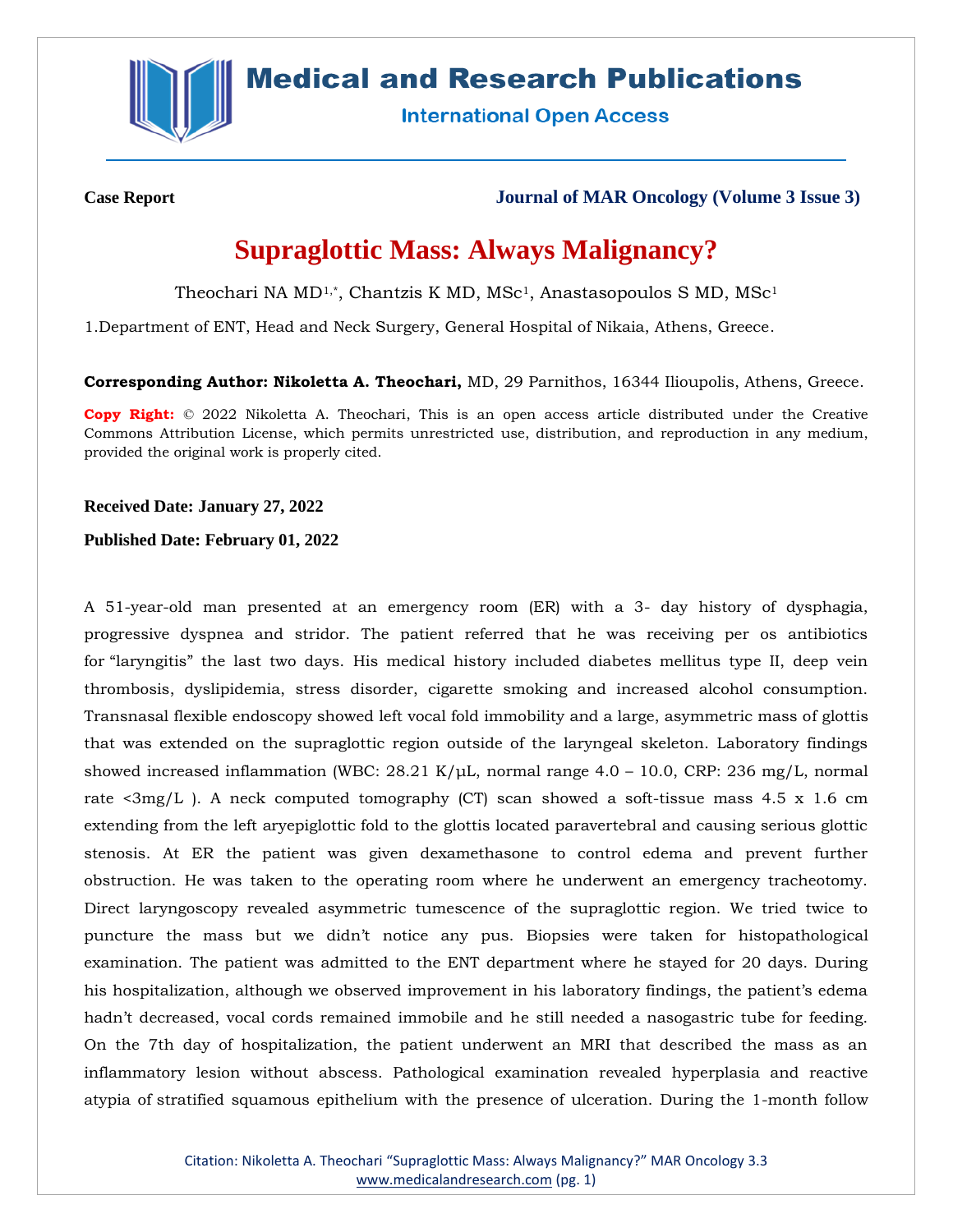

## **Medical and Research Publications**

**International Open Access** 

**Case Report Journal of MAR Oncology (Volume 3 Issue 3)**

# **Supraglottic Mass: Always Malignancy?**

Theochari NA MD<sup>1,\*</sup>, Chantzis K MD, MSc<sup>1</sup>, Anastasopoulos S MD, MSc<sup>1</sup>

1.Department of ENT, Head and Neck Surgery, General Hospital of Nikaia, Athens, Greece.

**Corresponding Author: Nikoletta A. Theochari,** MD, 29 Parnithos, 16344 Ilioupolis, Athens, Greece.

**Copy Right:** © 2022 Nikoletta A. Theochari, This is an open access article distributed under the Creative Commons Attribution License, which permits unrestricted use, distribution, and reproduction in any medium, provided the original work is properly cited.

#### **Received Date: January 27, 2022**

#### **Published Date: February 01, 2022**

A 51-year-old man presented at an emergency room (ER) with a 3- day history of dysphagia, progressive dyspnea and stridor. The patient referred that he was receiving per os antibiotics for "laryngitis" the last two days. His medical history included diabetes mellitus type II, deep vein thrombosis, dyslipidemia, stress disorder, cigarette smoking and increased alcohol consumption. Transnasal flexible endoscopy showed left vocal fold immobility and a large, asymmetric mass of glottis that was extended on the supraglottic region outside of the laryngeal skeleton. Laboratory findings showed increased inflammation (WBC:  $28.21 \text{ K/µL}$ , normal range  $4.0 - 10.0$ , CRP:  $236 \text{ mg/L}$ , normal rate  $\langle 3mg/L \rangle$ . A neck computed tomography (CT) scan showed a soft-tissue mass 4.5 x 1.6 cm extending from the left aryepiglottic fold to the glottis located paravertebral and causing serious glottic stenosis. At ER the patient was given dexamethasone to control edema and prevent further obstruction. He was taken to the operating room where he underwent an emergency tracheotomy. Direct laryngoscopy revealed asymmetric tumescence of the supraglottic region. We tried twice to puncture the mass but we didn't notice any pus. Biopsies were taken for histopathological examination. The patient was admitted to the ENT department where he stayed for 20 days. During his hospitalization, although we observed improvement in his laboratory findings, the patient's edema hadn't decreased, vocal cords remained immobile and he still needed a nasogastric tube for feeding. On the 7th day of hospitalization, the patient underwent an MRI that described the mass as an inflammatory lesion without abscess. Pathological examination revealed hyperplasia and reactive atypia of stratified squamous epithelium with the presence of ulceration. During the 1-month follow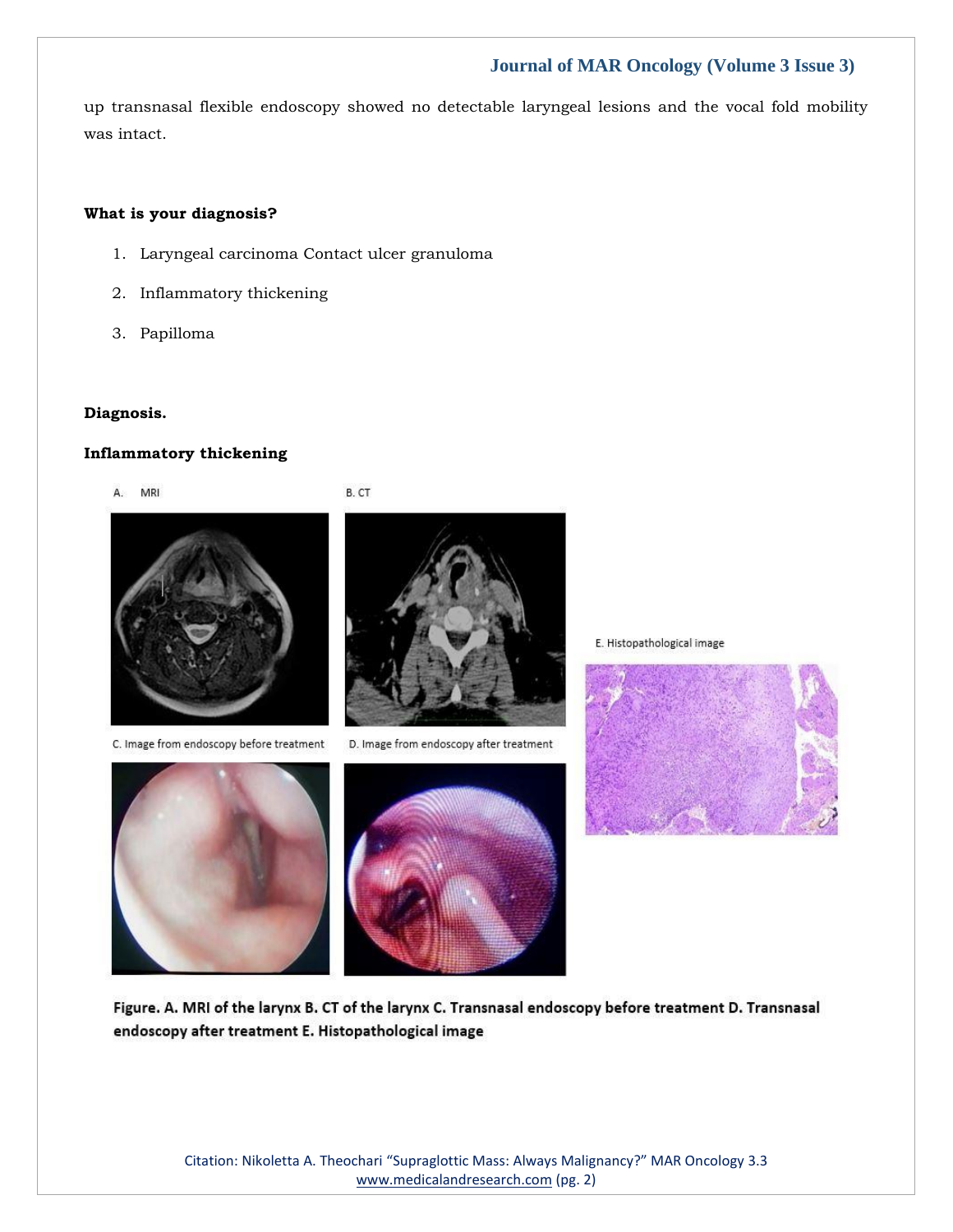## **Journal of MAR Oncology (Volume 3 Issue 3)**

up transnasal flexible endoscopy showed no detectable laryngeal lesions and the vocal fold mobility was intact.

#### **What is your diagnosis?**

1. Laryngeal carcinoma Contact ulcer granuloma

B. CT

- 2. Inflammatory thickening
- 3. Papilloma

#### **Diagnosis.**

### **Inflammatory thickening**



C. Image from endoscopy before treatment





D. Image from endoscopy after treatment



E. Histopathological image



Figure. A. MRI of the larynx B. CT of the larynx C. Transnasal endoscopy before treatment D. Transnasal endoscopy after treatment E. Histopathological image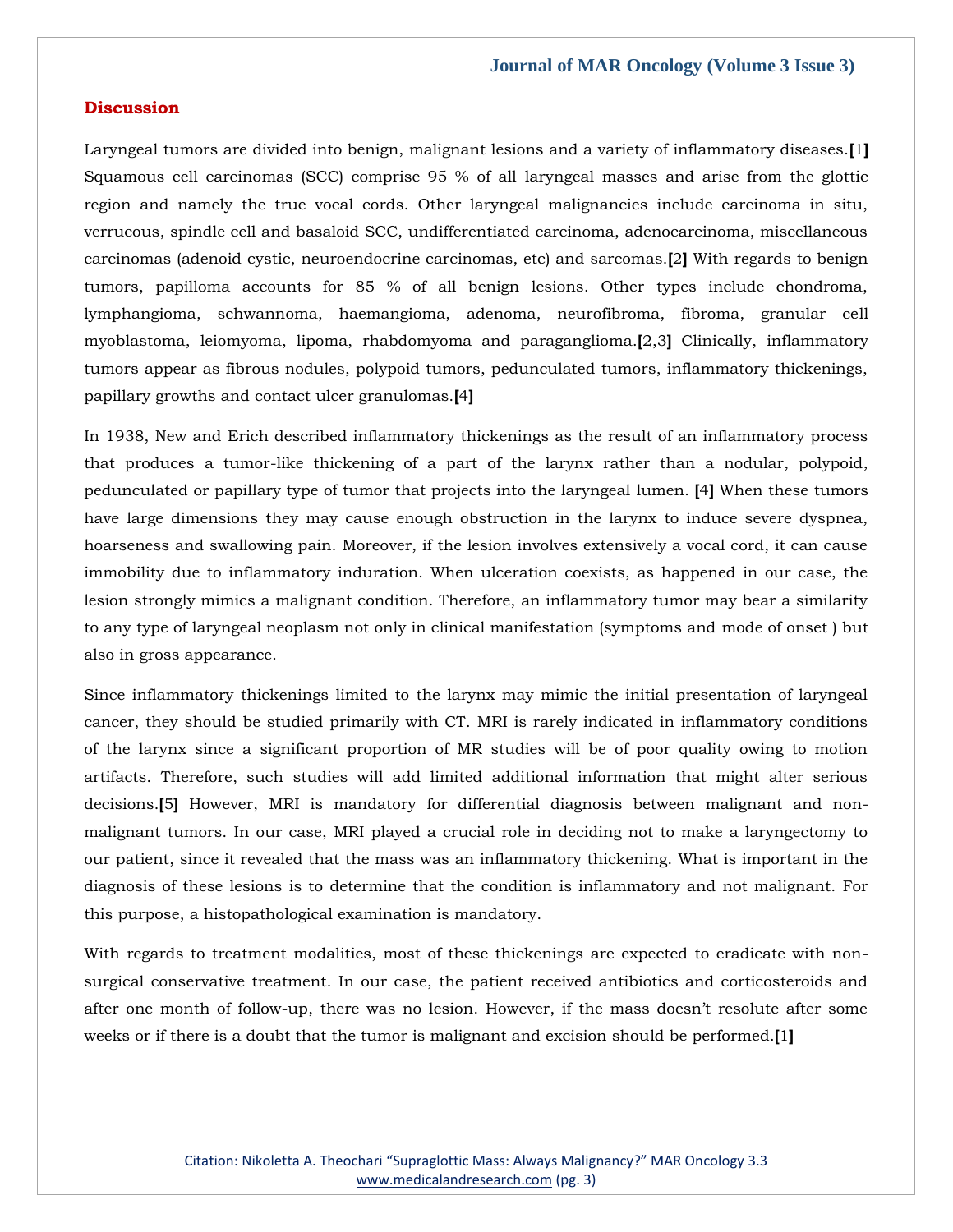#### **Discussion**

Laryngeal tumors are divided into benign, malignant lesions and a variety of inflammatory diseases.**[**1**]**  Squamous cell carcinomas (SCC) comprise 95 % of all laryngeal masses and arise from the glottic region and namely the true vocal cords. Other laryngeal malignancies include carcinoma in situ, verrucous, spindle cell and basaloid SCC, undifferentiated carcinoma, adenocarcinoma, miscellaneous carcinomas (adenoid cystic, neuroendocrine carcinomas, etc) and sarcomas.**[**2**]** With regards to benign tumors, papilloma accounts for 85 % of all benign lesions. Other types include chondroma, lymphangioma, schwannoma, haemangioma, adenoma, neurofibroma, fibroma, granular cell myoblastoma, leiomyoma, lipoma, rhabdomyoma and paraganglioma.**[**2,3**]** Clinically, inflammatory tumors appear as fibrous nodules, polypoid tumors, pedunculated tumors, inflammatory thickenings, papillary growths and contact ulcer granulomas.**[**4**]**

In 1938, New and Erich described inflammatory thickenings as the result of an inflammatory process that produces a tumor-like thickening of a part of the larynx rather than a nodular, polypoid, pedunculated or papillary type of tumor that projects into the laryngeal lumen. **[**4**]** When these tumors have large dimensions they may cause enough obstruction in the larynx to induce severe dyspnea, hoarseness and swallowing pain. Moreover, if the lesion involves extensively a vocal cord, it can cause immobility due to inflammatory induration. When ulceration coexists, as happened in our case, the lesion strongly mimics a malignant condition. Therefore, an inflammatory tumor may bear a similarity to any type of laryngeal neoplasm not only in clinical manifestation (symptoms and mode of onset ) but also in gross appearance.

Since inflammatory thickenings limited to the larynx may mimic the initial presentation of laryngeal cancer, they should be studied primarily with CT. MRI is rarely indicated in inflammatory conditions of the larynx since a significant proportion of MR studies will be of poor quality owing to motion artifacts. Therefore, such studies will add limited additional information that might alter serious decisions.**[**5**]** However, MRI is mandatory for differential diagnosis between malignant and nonmalignant tumors. In our case, MRI played a crucial role in deciding not to make a laryngectomy to our patient, since it revealed that the mass was an inflammatory thickening. What is important in the diagnosis of these lesions is to determine that the condition is inflammatory and not malignant. For this purpose, a histopathological examination is mandatory.

With regards to treatment modalities, most of these thickenings are expected to eradicate with nonsurgical conservative treatment. In our case, the patient received antibiotics and corticosteroids and after one month of follow-up, there was no lesion. However, if the mass doesn't resolute after some weeks or if there is a doubt that the tumor is malignant and excision should be performed.**[**1**]**